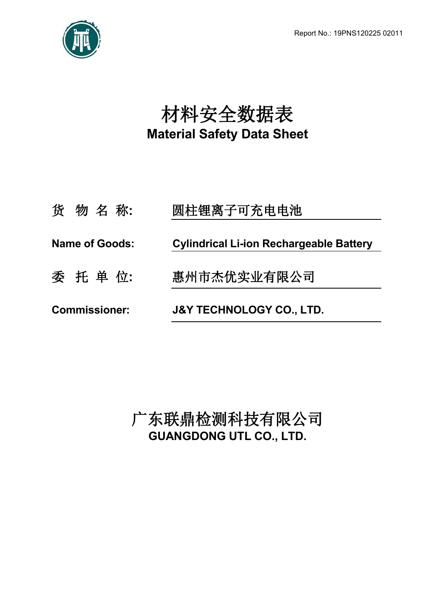

# 材料安全数据表 **Material Safety Data Sheet**

| <b>Commissioner:</b>  | <b>J&amp;Y TECHNOLOGY CO., LTD.</b>            |  |  |
|-----------------------|------------------------------------------------|--|--|
| 委 托 单 位:              | 惠州市杰优实业有限公司                                    |  |  |
| <b>Name of Goods:</b> | <b>Cylindrical Li-ion Rechargeable Battery</b> |  |  |
| 货物名称:                 | 圆柱锂离子可充电电池                                     |  |  |

广东联鼎检测科技有限公司 **GUANGDONG UTL CO., LTD.**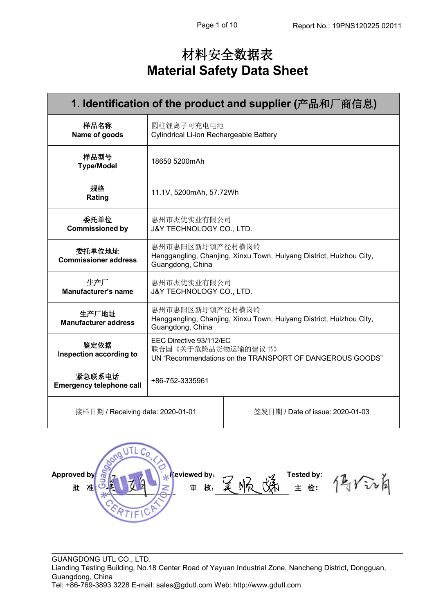## 材料安全数据表 **Material Safety Data Sheet**

| 1. Identification of the product and supplier (产品和厂商信息) |                                                                                                           |                                                                     |  |  |
|---------------------------------------------------------|-----------------------------------------------------------------------------------------------------------|---------------------------------------------------------------------|--|--|
| 样品名称<br>Name of goods                                   | 圆柱锂离子可充电电池<br>Cylindrical Li-ion Rechargeable Battery                                                     |                                                                     |  |  |
| 样品型号<br><b>Type/Model</b>                               | 18650 5200mAh                                                                                             |                                                                     |  |  |
| 规格<br>Rating                                            | 11.1V, 5200mAh, 57.72Wh                                                                                   |                                                                     |  |  |
| 委托单位<br><b>Commissioned by</b>                          | 惠州市杰优实业有限公司<br>J&Y TECHNOLOGY CO., LTD.                                                                   |                                                                     |  |  |
| 委托单位地址<br><b>Commissioner address</b>                   | 惠州市惠阳区新圩镇产径村横岗岭<br>Guangdong, China                                                                       | Henggangling, Chanjing, Xinxu Town, Huiyang District, Huizhou City, |  |  |
| 生产厂<br><b>Manufacturer's name</b>                       | 惠州市杰优实业有限公司<br>J&Y TECHNOLOGY CO., LTD.                                                                   |                                                                     |  |  |
| 生产厂地址<br><b>Manufacturer address</b>                    | 惠州市惠阳区新圩镇产径村横岗岭<br>Guangdong, China                                                                       | Henggangling, Chanjing, Xinxu Town, Huiyang District, Huizhou City, |  |  |
| 鉴定依据<br>Inspection according to                         | EEC Directive 93/112/EC<br>联合国《关于危险品货物运输的建议书》<br>UN "Recommendations on the TRANSPORT OF DANGEROUS GOODS" |                                                                     |  |  |
| 紧急联系电话<br><b>Emergency telephone call</b>               | +86-752-3335961                                                                                           |                                                                     |  |  |
| 接样日期 / Receiving date: 2020-01-01                       |                                                                                                           | 签发日期 / Date of issue: 2020-01-03                                    |  |  |
|                                                         |                                                                                                           |                                                                     |  |  |

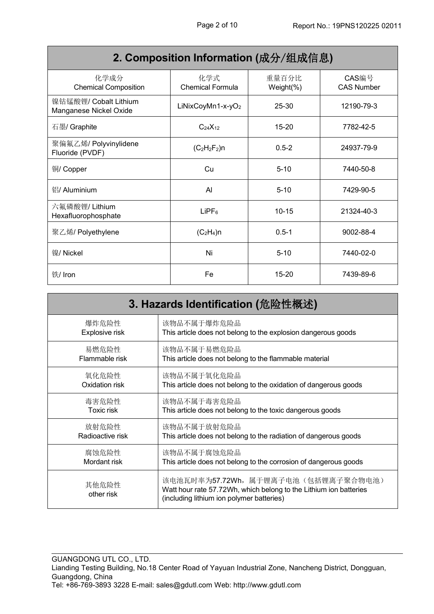| 2. Composition Information (成分/组成信息)            |                                |                        |                            |
|-------------------------------------------------|--------------------------------|------------------------|----------------------------|
| 化学成分<br><b>Chemical Composition</b>             | 化学式<br><b>Chemical Formula</b> | 重量百分比<br>Weight $(\%)$ | CAS编号<br><b>CAS Number</b> |
| 镍钴锰酸锂/ Cobalt Lithium<br>Manganese Nickel Oxide | LiNixCoyMn1-x-yO <sub>2</sub>  | $25 - 30$              | 12190-79-3                 |
| 石墨/ Graphite                                    | $C_{24}X_{12}$                 | $15 - 20$              | 7782-42-5                  |
| 聚偏氟乙烯/ Polyvinylidene<br>Fluoride (PVDF)        | $(C_2H_2F_2)n$                 | $0.5 - 2$              | 24937-79-9                 |
| 铜/ Copper                                       | Cu                             | $5 - 10$               | 7440-50-8                  |
| 铝/ Aluminium                                    | Al                             | $5 - 10$               | 7429-90-5                  |
| 六氟磷酸锂/ Lithium<br>Hexafluorophosphate           | $L$ iPF $_6$                   | $10 - 15$              | 21324-40-3                 |
| 聚乙烯/ Polyethylene                               | $(C_2H_4)n$                    | $0.5 - 1$              | 9002-88-4                  |
| 镍/ Nickel                                       | Ni                             | $5 - 10$               | 7440-02-0                  |
| 铁/ Iron                                         | Fe                             | $15 - 20$              | 7439-89-6                  |

| 3. Hazards Identification (危险性概述)                                                                                                                                            |                                                                  |  |  |
|------------------------------------------------------------------------------------------------------------------------------------------------------------------------------|------------------------------------------------------------------|--|--|
| 爆炸危险性                                                                                                                                                                        | 该物品不属于爆炸危险品                                                      |  |  |
| Explosive risk                                                                                                                                                               | This article does not belong to the explosion dangerous goods    |  |  |
| 易燃危险性                                                                                                                                                                        | 该物品不属于易燃危险品                                                      |  |  |
| Flammable risk                                                                                                                                                               | This article does not belong to the flammable material           |  |  |
| 氧化危险性                                                                                                                                                                        | 该物品不属于氧化危险品                                                      |  |  |
| Oxidation risk                                                                                                                                                               | This article does not belong to the oxidation of dangerous goods |  |  |
| 毒害危险性                                                                                                                                                                        | 该物品不属于毒害危险品                                                      |  |  |
| <b>Toxic risk</b>                                                                                                                                                            | This article does not belong to the toxic dangerous goods        |  |  |
| 放射危险性                                                                                                                                                                        | 该物品不属于放射危险品                                                      |  |  |
| Radioactive risk                                                                                                                                                             | This article does not belong to the radiation of dangerous goods |  |  |
| 该物品不属于腐蚀危险品<br>腐蚀危险性<br>Mordant risk<br>This article does not belong to the corrosion of dangerous goods                                                                     |                                                                  |  |  |
| 该电池瓦时率为57.72Wh, 属于锂离子电池(包括锂离子聚合物电池)<br>其他危险性<br>Watt hour rate 57.72Wh, which belong to the Lithium ion batteries<br>other risk<br>(including lithium ion polymer batteries) |                                                                  |  |  |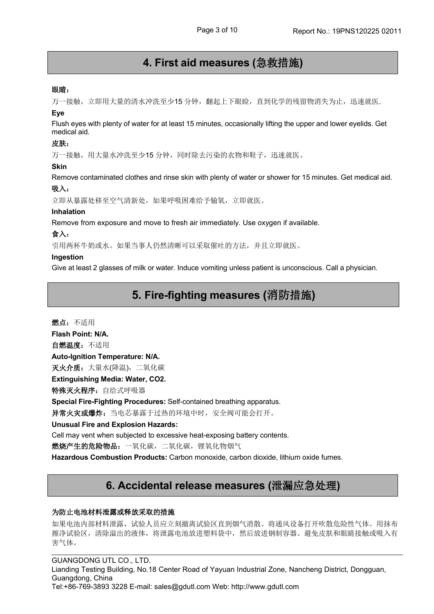### **4. First aid measures (**急救措施**)**

### 眼睛:

万一接触,立即用大量的清水冲洗至少15 分钟,翻起上下眼睑,直到化学的残留物消失为止,迅速就医.

### **Eye**

Flush eyes with plenty of water for at least 15 minutes, occasionally lifting the upper and lower eyelids. Get medical aid.

### **皮肤: インファン** しょうしょう しょうしょう

万一接触,用大量水冲洗至少15 分钟,同时除去污染的衣物和鞋子,迅速就医。

#### **Skin**

Remove contaminated clothes and rinse skin with plenty of water or shower for 15 minutes. Get medical aid.

### 吸入:

立即从暴露处移至空气清新处,如果呼吸困难给予输氧,立即就医。

### **Inhalation**

Remove from exposure and move to fresh air immediately. Use oxygen if available.

### 食入:

引用两杯牛奶或水。如果当事人仍然清晰可以采取催吐的方法,并且立即就医。

### **Ingestion**

Give at least 2 glasses of milk or water. Induce vomiting unless patient is unconscious. Call a physician.

### **5. Fire-fighting measures (**消防措施**)**

燃点:不适用 **Flash Point: N/A.** 自燃温度:不适用 **Auto-Ignition Temperature: N/A.** 灭火介质: 大量水(降温), 二氧化碳 **Extinguishing Media: Water, CO2.** 特殊灭火程序: 自给式呼吸器 **Special Fire-Fighting Procedures:** Self-contained breathing apparatus. 异常火灾或爆炸:当电芯暴露于过热的环境中时,安全阀可能会打开。 **Unusual Fire and Explosion Hazards:** Cell may vent when subjected to excessive heat-exposing battery contents.燃烧产生的危险物品:一氧化碳,二氧化碳,锂氧化物烟气

**Hazardous Combustion Products:** Carbon monoxide, carbon dioxide, lithium oxide fumes.

### **6. Accidental release measures (**泄漏应急处理**)**

### 为防止电池材料泄露或释放采取的措施

如果电池内部材料泄露,试验人员应立刻撤离试验区直到烟气消散。将通风设备打开吹散危险性气体。用抹布 擦净试验区,清除溢出的液体,将泄露电池放进塑料袋中,然后放进钢制容器。避免皮肤和眼睛接触或吸入有 害气体。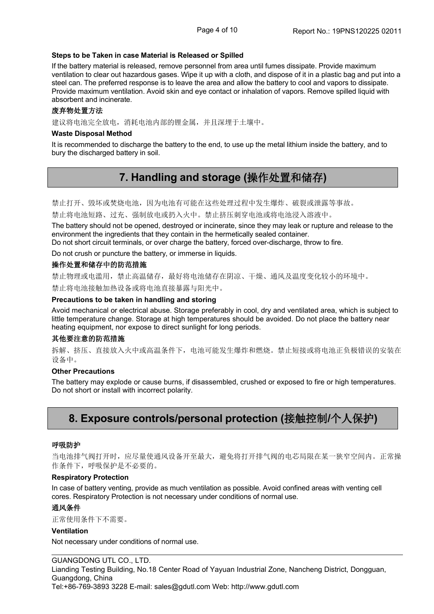### **Steps to be Taken in case Material is Released or Spilled**

If the battery material is released, remove personnel from area until fumes dissipate. Provide maximum ventilation to clear out hazardous gases. Wipe it up with a cloth, and dispose of it in a plastic bag and put into a steel can. The preferred response is to leave the area and allow the battery to cool and vapors to dissipate. Provide maximum ventilation. Avoid skin and eye contact or inhalation of vapors. Remove spilled liquid with absorbent and incinerate.

### 废弃物处置方法

建议将电池完全放电,消耗电池内部的锂金属,并且深埋于土壤中。

#### **Waste Disposal Method**

It is recommended to discharge the battery to the end, to use up the metal lithium inside the battery, and to bury the discharged battery in soil.

### **7. Handling and storage (**操作处置和储存**)**

禁止打开、毁坏或焚烧电池,因为电池有可能在这些处理过程中发生爆炸、破裂或泄露等事故。

禁止将电池短路、过充、强制放电或扔入火中。禁止挤压刺穿电池或将电池浸入溶液中。

The battery should not be opened, destroyed or incinerate, since they may leak or rupture and release to the environment the ingredients that they contain in the hermetically sealed container.

Do not short circuit terminals, or over charge the battery, forced over-discharge, throw to fire.

Do not crush or puncture the battery, or immerse in liquids.

#### 操作处置和储存中的防范措施

禁止物理或电滥用,禁止高温储存,最好将电池储存在阴凉、干燥、通风及温度变化较小的环境中。

禁止将电池接触加热设备或将电池直接暴露与阳光中。

#### **Precautions to be taken in handling and storing**

Avoid mechanical or electrical abuse. Storage preferably in cool, dry and ventilated area, which issubject to little temperature change. Storage at high temperatures should be avoided. Do not place the battery near heating equipment, nor expose to direct sunlight for long periods.

### 其他要注意的防范措施

拆解、挤压、直接放入火中或高温条件下,电池可能发生爆炸和燃烧。禁止短接或将电池正负极错误的安装在 设备中。

#### **Other Precautions**

The battery may explode or cause burns, if disassembled, crushed or exposed to fire or high temperatures. Do not short or install with incorrect polarity.

### **8. Exposure controls/personal protection (**接触控制**/**个人保护**)**

#### 呼吸防护

当电池排气阀打开时,应尽量使通风设备开至最大,避免将打开排气阀的电芯局限在某一狭窄空间内。正常操 作条件下,呼吸保护是不必要的。

#### **Respiratory Protection**

In case of battery venting, provide as much ventilation as possible. Avoid confined areas with venting cell cores. Respiratory Protection is not necessary under conditions of normal use.

### 通风条件

正常使用条件下不需要。

#### **Ventilation**

Not necessary under conditions of normal use.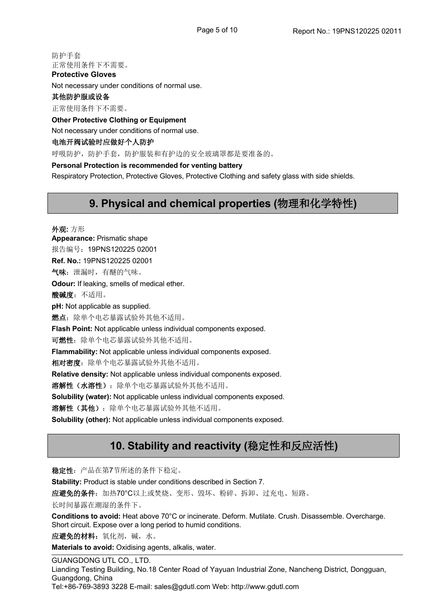防护手套 正常使用条件下不需要。

Not necessary under conditions of normal use.

### 其他防护服或设备

**Protective Gloves**

正常使用条件下不需要。

**Other Protective Clothing or Equipment**

Not necessary under conditions of normal use.

### 电池开阀试验时应做好个人防护

呼吸防护,防护手套,防护服装和有护边的安全玻璃罩都是要准备的。

### **Personal Protection isrecommended for venting battery**

Respiratory Protection, Protective Gloves, Protective Clothing and safety glass with side shields.

### **9. Physical and chemical properties (**物理和化学特性**)**

外观**:** 方形 **Appearance:** Prismatic shape 报告编号: 19PNS120225 02001 **Ref. No.:** 19PNS120225 02001 气味:泄漏时,有醚的气味。 **Odour:** If leaking, smells of medical ether. 酸碱度: 不适用。 **pH:** Not applicable as supplied. 燃点: 除单个电芯暴露试验外其他不适用。 **Flash Point:** Not applicable unless individual components exposed.可燃性:除单个电芯暴露试验外其他不适用。 **Flammability:** Not applicable unless individual components exposed.相对密度:除单个电芯暴露试验外其他不适用。 **Relative density:** Not applicable unless individual components exposed. 溶解性(水溶性):除单个电芯暴露试验外其他不适用。 **Solubility (water):** Not applicable unless individual components exposed.溶解性(其他):除单个电芯暴露试验外其他不适用。 **Solubility (other):** Not applicable unless individual components exposed.

### **10. Stability and reactivity (**稳定性和反应活性**)**

稳定性:产品在第7节所述的条件下稳定。

**Stability:** Product is stable under conditions described in Section 7.

应避免的条件:加热70°C以上或焚烧、变形、毁坏、粉碎、拆卸、过充电、短路。

长时间暴露在潮湿的条件下。

**Conditions to avoid:** Heat above 70°C or incinerate. Deform. Mutilate. Crush. Disassemble. Overcharge. Short circuit. Expose over a long period to humid conditions.

应避免的材料:氧化剂,碱,水。

**Materials to avoid:** Oxidising agents, alkalis, water.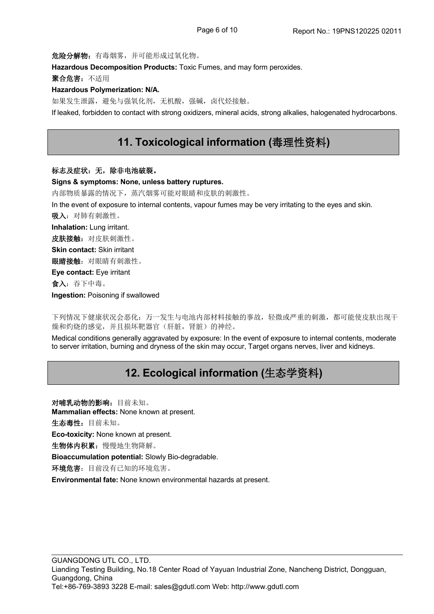危险分解物:有毒烟雾,并可能形成过氧化物。

**Hazardous Decomposition Products:** Toxic Fumes, and may form peroxides.

聚合危害:不适用

### **Hazardous Polymerization: N/A.**

如果发生泄露,避免与强氧化剂,无机酸,强碱,卤代烃接触。

If leaked, forbidden to contact with strong oxidizers, mineral acids, strong alkalies, halogenated hydrocarbons.

### **11. Toxicological information (**毒理性资料**)**

#### 标志及症状:无,除非电池破裂。

**Signs & symptoms: None, unless battery ruptures.**

内部物质暴露的情况下,蒸汽烟雾可能对眼睛和皮肤的刺激性。

In the event of exposure to internal contents, vapour fumes may be very irritating to the eyes and skin.

吸入:对肺有刺激性。

**Inhalation:** Lung irritant.

皮肤接触: 对皮肤刺激性。

**Skin contact:** Skin irritant

眼睛接触:对眼睛有刺激性。

**Eye contact:** Eye irritant

食入:吞下中毒。

**Ingestion:** Poisoning if swallowed

下列情况下健康状况会恶化:万一发生与电池内部材料接触的事故,轻微或严重的刺激,都可能使皮肤出现干 燥和灼烧的感觉,并且损坏靶器官(肝脏,肾脏)的神经。

Medical conditions generally aggravated by exposure: In the event of exposure to internal contents, moderate to server irritation, burning and dryness of the skin may occur, Target organs nerves, liver and kidneys.

### **12. Ecological information (**生态学资料**)**

对哺乳动物的影响:目前未知。 **Mammalian effects:** None known at present. 生态毒性:目前未知。 **Eco-toxicity:** None known at present. 生物体内积累:慢慢地生物降解。 **Bioaccumulation potential:** Slowly Bio-degradable. 环境危害:目前没有已知的环境危害。 **Environmental fate:** None known environmental hazards at present.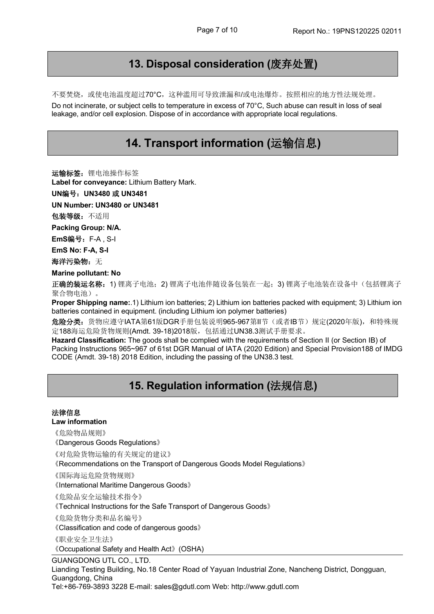### **13. Disposal consideration (**废弃处置**)**

不要焚烧,或使电池温度超过70°C,这种滥用可导致泄漏和/或电池爆炸。按照相应的地方性法规处理。 Do not incinerate, or subject cells to temperature in excess of 70°C, Such abuse can result in loss of seal leakage, and/or cell explosion. Dispose of in accordance with appropriate local regulations.

### **14. Transport information (**运输信息**)**

运输标签: 锂电池操作标签

**Label for conveyance:** Lithium Battery Mark.

**UN**编号:**UN3480** 或 **UN3481**

**UN Number: UN3480 or UN3481**

包装等级:不适用

**Packing Group: N/A.**

**EmS**编号:F-A , S-I

**EmS No: F-A, S-I**

海洋污染物: 无

**Marine pollutant: No**

正确的装运名称: 1) 锂离子电池; 2) 锂离子电池伴随设备包装在一起; 3) 锂离子电池装在设备中(包括锂离子 聚合物电池)。

**Proper Shipping name:**.1) Lithium ion batteries; 2) Lithium ion batteries packed with equipment; 3) Lithium ion batteries contained in equipment. (including Lithium ion polymer batteries)

危险分类: 货物应遵守IATA第61版DGR手册包装说明965-967第II节(或者IB节)规定(2020年版), 和特殊规 定188海运危险货物规则(Amdt. 39-18)2018版,包括通过UN38.3测试手册要求。

**Hazard Classification:** The goods shall be complied with the requirements of Section II (or Section IB) of Packing Instructions 965~967 of 61st DGR Manual of IATA (2020 Edition) and Special Provision188 of IMDG CODE (Amdt. 39-18) 2018 Edition, including the passing of the UN38.3 test.

### **15. Regulation information (**法规信息**)**

### 法律信息

**Law information**

《危险物品规则》

《Dangerous Goods Regulations》

《对危险货物运输的有关规定的建议》

《Recommendations on the Transport of Dangerous Goods Model Regulations》

《国际海运危险货物规则》

《International Maritime Dangerous Goods》

《危险品安全运输技术指令》

《Technical Instructions for the Safe Transport of Dangerous Goods》

《危险货物分类和品名编号》

《Classification and code of dangerous goods》

《职业安全卫生法》

《Occupational Safety and Health Act》(OSHA)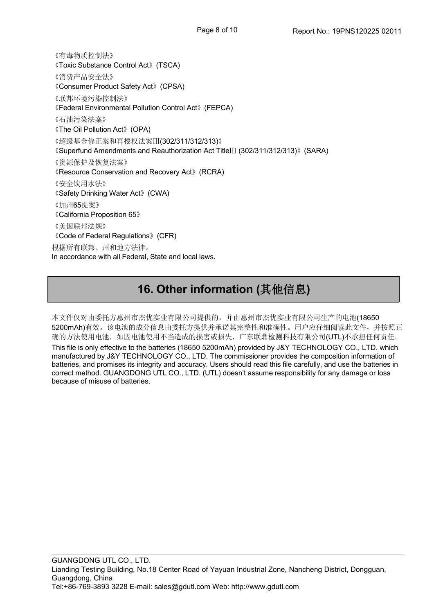《有毒物质控制法》 《Toxic Substance Control Act》(TSCA) 《消费产品安全法》 《Consumer Product Safety Act》(CPSA) 《联邦环境污染控制法》 《Federal Environmental Pollution Control Act》(FEPCA) 《石油污染法案》 《The Oil Pollution Act》(OPA) 《超级基金修正案和再授权法案Ⅲ(302/311/312/313)》 《Superfund Amendments and Reauthorization Act TitleⅢ (302/311/312/313)》(SARA) 《资源保护及恢复法案》 《Resource Conservation and Recovery Act》(RCRA) 《安全饮用水法》 《Safety Drinking Water Act》(CWA) 《加州65提案》 《California Proposition 65》 《美国联邦法规》 《Code of Federal Regulations》(CFR) 根据所有联邦、州和地方法律。 In accordance with all Federal, State and local laws.

## **16. Other information (**其他信息**)**

本文件仅对由委托方惠州市杰优实业有限公司提供的,并由惠州市杰优实业有限公司生产的电池(18650 5200mAh)有效。该电池的成分信息由委托方提供并承诺其完整性和准确性。用户应仔细阅读此文件,并按照正 确的方法使用电池,如因电池使用不当造成的损害或损失,广东联鼎检测科技有限公司(UTL)不承担任何责任。 This file is only effective to the batteries (18650 5200mAh) provided by J&Y TECHNOLOGY CO., LTD. which manufactured by J&Y TECHNOLOGY CO., LTD. The commissioner provides the composition information of batteries, and promises its integrity and accuracy. Users should read this file carefully, and use the batteries in correct method. GUANGDONG UTL CO., LTD. (UTL) doesn't assume responsibility for any damage or loss because of misuse of batteries.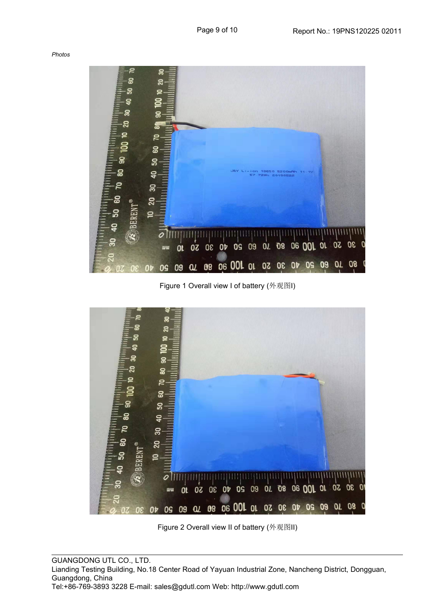*Photos*



Figure 1 Overall view I of battery (外观图I)



Figure 2 Overall view II of battery (外观图II)